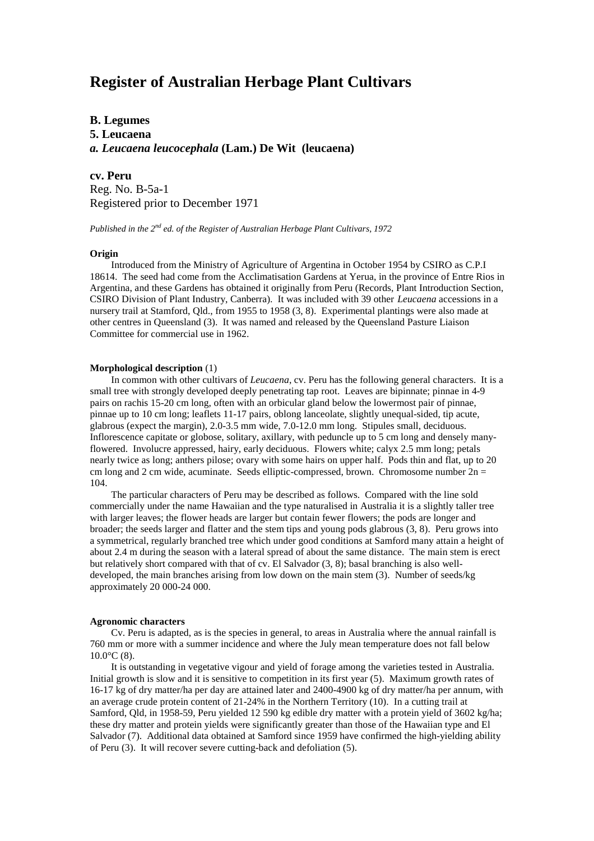# **Register of Australian Herbage Plant Cultivars**

**B. Legumes**

**5. Leucaena** *a. Leucaena leucocephala* **(Lam.) De Wit (leucaena)**

**cv. Peru** Reg. No. B-5a-1 Registered prior to December 1971

*Published in the 2nd ed. of the Register of Australian Herbage Plant Cultivars, 1972*

## **Origin**

Introduced from the Ministry of Agriculture of Argentina in October 1954 by CSIRO as C.P.I 18614. The seed had come from the Acclimatisation Gardens at Yerua, in the province of Entre Rios in Argentina, and these Gardens has obtained it originally from Peru (Records, Plant Introduction Section, CSIRO Division of Plant Industry, Canberra). It was included with 39 other *Leucaena* accessions in a nursery trail at Stamford, Qld., from 1955 to 1958 (3, 8). Experimental plantings were also made at other centres in Queensland (3). It was named and released by the Queensland Pasture Liaison Committee for commercial use in 1962.

## **Morphological description** (1)

In common with other cultivars of *Leucaena*, cv. Peru has the following general characters. It is a small tree with strongly developed deeply penetrating tap root. Leaves are bipinnate; pinnae in 4-9 pairs on rachis 15-20 cm long, often with an orbicular gland below the lowermost pair of pinnae, pinnae up to 10 cm long; leaflets 11-17 pairs, oblong lanceolate, slightly unequal-sided, tip acute, glabrous (expect the margin), 2.0-3.5 mm wide, 7.0-12.0 mm long. Stipules small, deciduous. Inflorescence capitate or globose, solitary, axillary, with peduncle up to 5 cm long and densely manyflowered. Involucre appressed, hairy, early deciduous. Flowers white; calyx 2.5 mm long; petals nearly twice as long; anthers pilose; ovary with some hairs on upper half. Pods thin and flat, up to 20 cm long and 2 cm wide, acuminate. Seeds elliptic-compressed, brown. Chromosome number  $2n =$ 104.

The particular characters of Peru may be described as follows. Compared with the line sold commercially under the name Hawaiian and the type naturalised in Australia it is a slightly taller tree with larger leaves; the flower heads are larger but contain fewer flowers; the pods are longer and broader; the seeds larger and flatter and the stem tips and young pods glabrous (3, 8). Peru grows into a symmetrical, regularly branched tree which under good conditions at Samford many attain a height of about 2.4 m during the season with a lateral spread of about the same distance. The main stem is erect but relatively short compared with that of cv. El Salvador (3, 8); basal branching is also welldeveloped, the main branches arising from low down on the main stem (3). Number of seeds/kg approximately 20 000-24 000.

#### **Agronomic characters**

Cv. Peru is adapted, as is the species in general, to areas in Australia where the annual rainfall is 760 mm or more with a summer incidence and where the July mean temperature does not fall below  $10.0$ °C (8).

It is outstanding in vegetative vigour and yield of forage among the varieties tested in Australia. Initial growth is slow and it is sensitive to competition in its first year (5). Maximum growth rates of 16-17 kg of dry matter/ha per day are attained later and 2400-4900 kg of dry matter/ha per annum, with an average crude protein content of 21-24% in the Northern Territory (10). In a cutting trail at Samford, Qld, in 1958-59, Peru yielded 12 590 kg edible dry matter with a protein yield of 3602 kg/ha; these dry matter and protein yields were significantly greater than those of the Hawaiian type and El Salvador (7). Additional data obtained at Samford since 1959 have confirmed the high-yielding ability of Peru (3). It will recover severe cutting-back and defoliation (5).